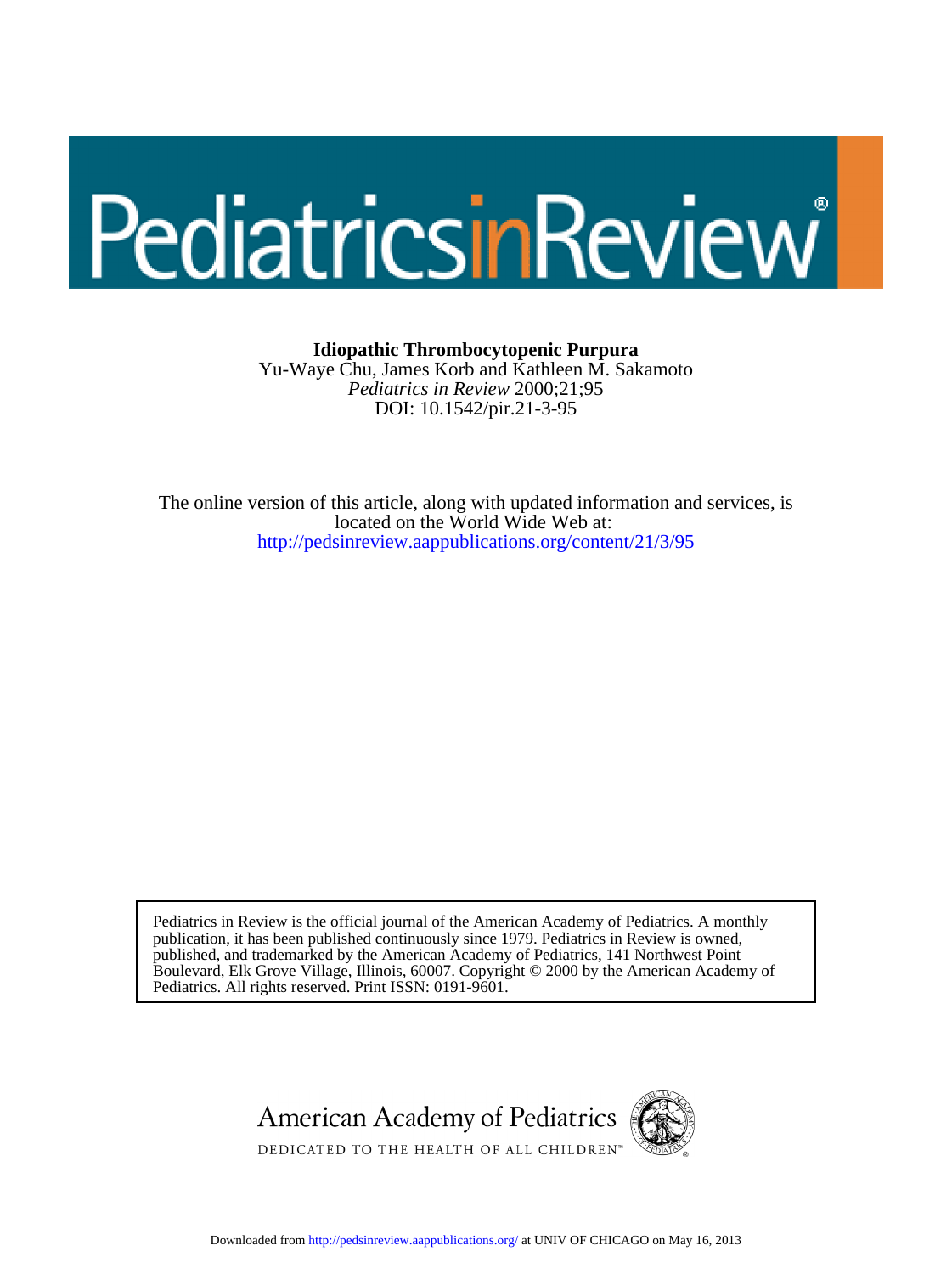# PediatricsinReview

# **Idiopathic Thrombocytopenic Purpura**

DOI: 10.1542/pir.21-3-95 *Pediatrics in Review* 2000;21;95 Yu-Waye Chu, James Korb and Kathleen M. Sakamoto

<http://pedsinreview.aappublications.org/content/21/3/95> located on the World Wide Web at: The online version of this article, along with updated information and services, is

Pediatrics. All rights reserved. Print ISSN: 0191-9601. Boulevard, Elk Grove Village, Illinois, 60007. Copyright © 2000 by the American Academy of published, and trademarked by the American Academy of Pediatrics, 141 Northwest Point publication, it has been published continuously since 1979. Pediatrics in Review is owned, Pediatrics in Review is the official journal of the American Academy of Pediatrics. A monthly

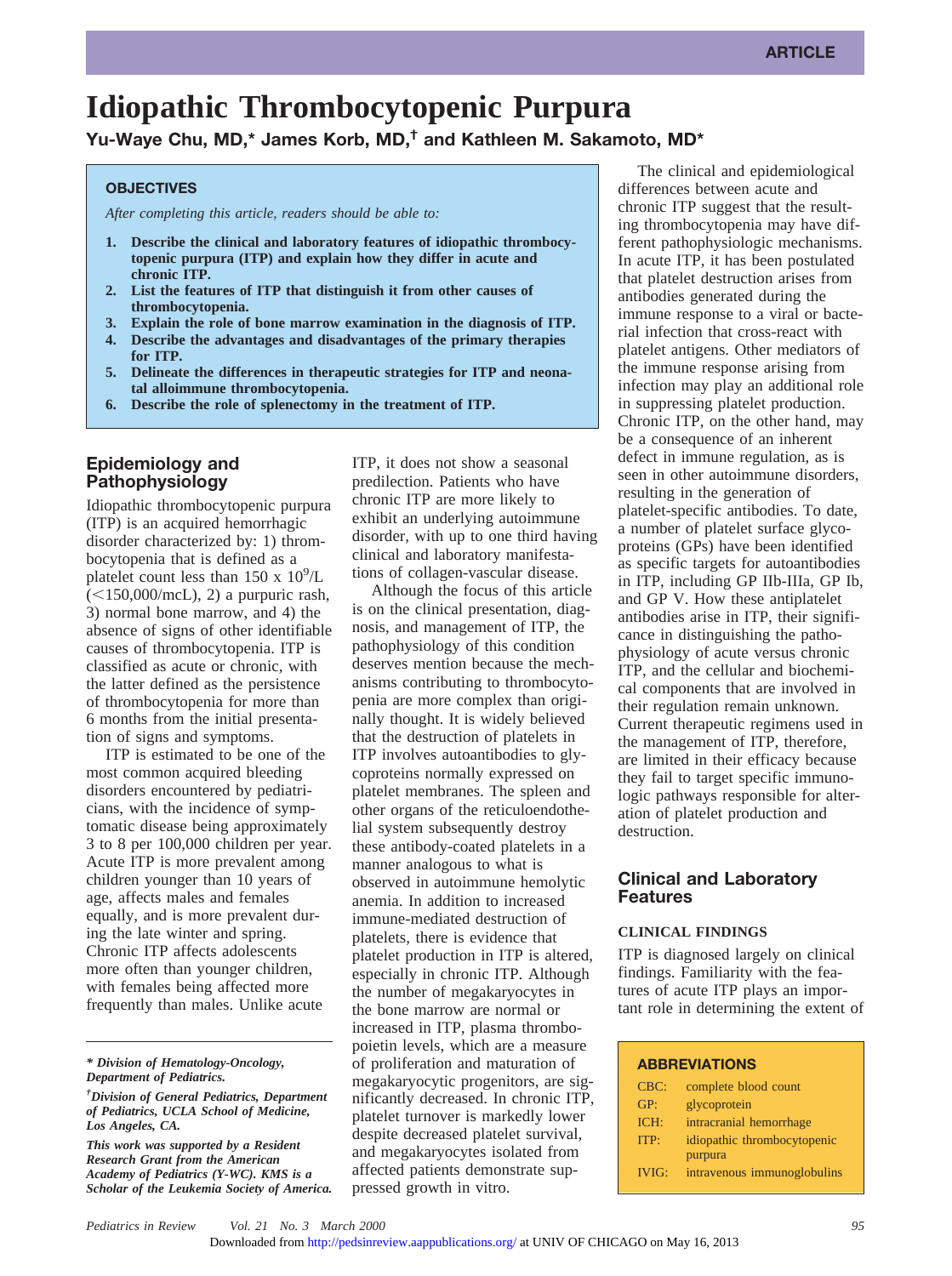# **Idiopathic Thrombocytopenic Purpura**

**Yu-Waye Chu, MD,\* James Korb, MD,† and Kathleen M. Sakamoto, MD\***

#### **OBJECTIVES**

*After completing this article, readers should be able to:*

- **1. Describe the clinical and laboratory features of idiopathic thrombocytopenic purpura (ITP) and explain how they differ in acute and chronic ITP.**
- **2. List the features of ITP that distinguish it from other causes of thrombocytopenia.**
- **3. Explain the role of bone marrow examination in the diagnosis of ITP.**
- **4. Describe the advantages and disadvantages of the primary therapies for ITP.**
- **5. Delineate the differences in therapeutic strategies for ITP and neonatal alloimmune thrombocytopenia.**
- **6. Describe the role of splenectomy in the treatment of ITP.**

# **Epidemiology and Pathophysiology**

Idiopathic thrombocytopenic purpura (ITP) is an acquired hemorrhagic disorder characterized by: 1) thrombocytopenia that is defined as a platelet count less than 150 x  $10^9$ /L  $(<150,000$ /mcL), 2) a purpuric rash,3) normal bone marrow, and 4) the absence of signs of other identifiable causes of thrombocytopenia. ITP is classified as acute or chronic, with the latter defined as the persistence of thrombocytopenia for more than 6 months from the initial presentation of signs and symptoms.

ITP is estimated to be one of the most common acquired bleeding disorders encountered by pediatricians, with the incidence of symptomatic disease being approximately 3 to 8 per 100,000 children per year. Acute ITP is more prevalent among children younger than 10 years of age, affects males and females equally, and is more prevalent during the late winter and spring. Chronic ITP affects adolescents more often than younger children, with females being affected more frequently than males. Unlike acute

*\* Division of Hematology-Oncology, Department of Pediatrics.*

*This work was supported by a Resident Research Grant from the American Academy of Pediatrics (Y-WC). KMS is a Scholar of the Leukemia Society of America.* ITP, it does not show a seasonal predilection. Patients who have chronic ITP are more likely to exhibit an underlying autoimmune disorder, with up to one third having clinical and laboratory manifestations of collagen-vascular disease.

Although the focus of this article is on the clinical presentation, diagnosis, and management of ITP, the pathophysiology of this condition deserves mention because the mechanisms contributing to thrombocytopenia are more complex than originally thought. It is widely believed that the destruction of platelets in ITP involves autoantibodies to glycoproteins normally expressed on platelet membranes. The spleen and other organs of the reticuloendothelial system subsequently destroy these antibody-coated platelets in a manner analogous to what is observed in autoimmune hemolytic anemia. In addition to increased immune-mediated destruction of platelets, there is evidence that platelet production in ITP is altered, especially in chronic ITP. Although the number of megakaryocytes in the bone marrow are normal or increased in ITP, plasma thrombopoietin levels, which are a measure of proliferation and maturation of megakaryocytic progenitors, are significantly decreased. In chronic ITP, platelet turnover is markedly lower despite decreased platelet survival, and megakaryocytes isolated from affected patients demonstrate suppressed growth in vitro.

The clinical and epidemiological differences between acute and chronic ITP suggest that the resulting thrombocytopenia may have different pathophysiologic mechanisms. In acute ITP, it has been postulated that platelet destruction arises from antibodies generated during the immune response to a viral or bacterial infection that cross-react with platelet antigens. Other mediators of the immune response arising from infection may play an additional role in suppressing platelet production. Chronic ITP, on the other hand, may be a consequence of an inherent defect in immune regulation, as is seen in other autoimmune disorders, resulting in the generation of platelet-specific antibodies. To date, a number of platelet surface glycoproteins (GPs) have been identified as specific targets for autoantibodies in ITP, including GP IIb-IIIa, GP Ib, and GP V. How these antiplatelet antibodies arise in ITP, their significance in distinguishing the pathophysiology of acute versus chronic ITP, and the cellular and biochemical components that are involved in their regulation remain unknown. Current therapeutic regimens used in the management of ITP, therefore, are limited in their efficacy because they fail to target specific immunologic pathways responsible for alteration of platelet production and destruction.

# **Clinical and Laboratory Features**

# **CLINICAL FINDINGS**

ITP is diagnosed largely on clinical findings. Familiarity with the features of acute ITP plays an important role in determining the extent of

#### **ABBREVIATIONS**

| CBC:         | complete blood count        |
|--------------|-----------------------------|
| GP:          | glycoprotein                |
| ICH:         | intracranial hemorrhage     |
| ITP:         | idiopathic thrombocytopenic |
|              | purpura                     |
| <b>IVIG:</b> | intravenous immunoglobulins |

*<sup>†</sup> Division of General Pediatrics, Department of Pediatrics, UCLA School of Medicine, Los Angeles, CA.*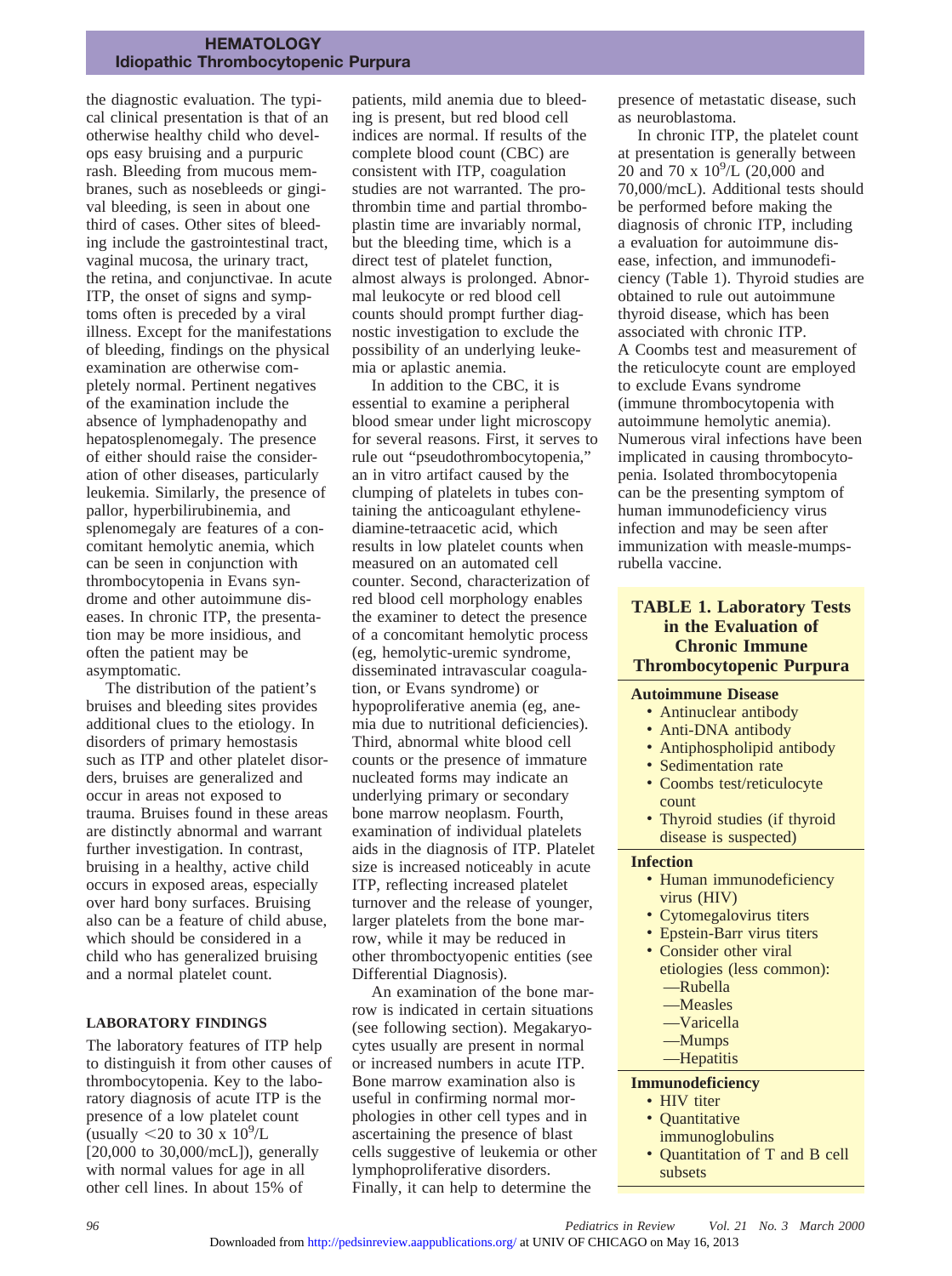the diagnostic evaluation. The typical clinical presentation is that of an otherwise healthy child who develops easy bruising and a purpuric rash. Bleeding from mucous membranes, such as nosebleeds or gingival bleeding, is seen in about one third of cases. Other sites of bleeding include the gastrointestinal tract, vaginal mucosa, the urinary tract, the retina, and conjunctivae. In acute ITP, the onset of signs and symptoms often is preceded by a viral illness. Except for the manifestations of bleeding, findings on the physical examination are otherwise completely normal. Pertinent negatives of the examination include the absence of lymphadenopathy and hepatosplenomegaly. The presence of either should raise the consideration of other diseases, particularly leukemia. Similarly, the presence of pallor, hyperbilirubinemia, and splenomegaly are features of a concomitant hemolytic anemia, which can be seen in conjunction with thrombocytopenia in Evans syndrome and other autoimmune diseases. In chronic ITP, the presentation may be more insidious, and often the patient may be asymptomatic.

The distribution of the patient's bruises and bleeding sites provides additional clues to the etiology. In disorders of primary hemostasis such as ITP and other platelet disorders, bruises are generalized and occur in areas not exposed to trauma. Bruises found in these areas are distinctly abnormal and warrant further investigation. In contrast, bruising in a healthy, active child occurs in exposed areas, especially over hard bony surfaces. Bruising also can be a feature of child abuse, which should be considered in a child who has generalized bruising and a normal platelet count.

### **LABORATORY FINDINGS**

The laboratory features of ITP help to distinguish it from other causes of thrombocytopenia. Key to the laboratory diagnosis of acute ITP is the presence of a low platelet count (usually  $\leq$ 20 to 30 x 10<sup>9</sup>/L [20,000 to 30,000/mcL]), generally with normal values for age in all other cell lines. In about 15% of

patients, mild anemia due to bleeding is present, but red blood cell indices are normal. If results of the complete blood count (CBC) are consistent with ITP, coagulation studies are not warranted. The prothrombin time and partial thromboplastin time are invariably normal, but the bleeding time, which is a direct test of platelet function, almost always is prolonged. Abnormal leukocyte or red blood cell counts should prompt further diagnostic investigation to exclude the possibility of an underlying leukemia or aplastic anemia.

In addition to the CBC, it is essential to examine a peripheral blood smear under light microscopy for several reasons. First, it serves to rule out "pseudothrombocytopenia," an in vitro artifact caused by the clumping of platelets in tubes containing the anticoagulant ethylenediamine-tetraacetic acid, which results in low platelet counts when measured on an automated cell counter. Second, characterization of red blood cell morphology enables the examiner to detect the presence of a concomitant hemolytic process (eg, hemolytic-uremic syndrome, disseminated intravascular coagulation, or Evans syndrome) or hypoproliferative anemia (eg, anemia due to nutritional deficiencies). Third, abnormal white blood cell counts or the presence of immature nucleated forms may indicate an underlying primary or secondary bone marrow neoplasm. Fourth, examination of individual platelets aids in the diagnosis of ITP. Platelet size is increased noticeably in acute ITP, reflecting increased platelet turnover and the release of younger, larger platelets from the bone marrow, while it may be reduced in other thromboctyopenic entities (see Differential Diagnosis).

An examination of the bone marrow is indicated in certain situations (see following section). Megakaryocytes usually are present in normal or increased numbers in acute ITP. Bone marrow examination also is useful in confirming normal morphologies in other cell types and in ascertaining the presence of blast cells suggestive of leukemia or other lymphoproliferative disorders. Finally, it can help to determine the

presence of metastatic disease, such as neuroblastoma.

In chronic ITP, the platelet count at presentation is generally between 20 and 70 x  $10^{9}/L$  (20,000 and 70,000/mcL). Additional tests should be performed before making the diagnosis of chronic ITP, including a evaluation for autoimmune disease, infection, and immunodeficiency (Table 1). Thyroid studies are obtained to rule out autoimmune thyroid disease, which has been associated with chronic ITP. A Coombs test and measurement of the reticulocyte count are employed to exclude Evans syndrome (immune thrombocytopenia with autoimmune hemolytic anemia). Numerous viral infections have been implicated in causing thrombocytopenia. Isolated thrombocytopenia can be the presenting symptom of human immunodeficiency virus infection and may be seen after immunization with measle-mumpsrubella vaccine.

# **TABLE 1. Laboratory Tests in the Evaluation of Chronic Immune Thrombocytopenic Purpura**

#### **Autoimmune Disease**

- Antinuclear antibody
- Anti-DNA antibody
- Antiphospholipid antibody
- Sedimentation rate
- Coombs test/reticulocyte count
- Thyroid studies (if thyroid disease is suspected)

#### **Infection**

- Human immunodeficiency virus (HIV)
- Cytomegalovirus titers
- Epstein-Barr virus titers
- Consider other viral etiologies (less common):
	- —Rubella
	- —Measles
	- —Varicella
	- —Mumps
	- —Hepatitis

# **Immunodeficiency**

- HIV titer
- Quantitative
- immunoglobulins
- Quantitation of T and B cell subsets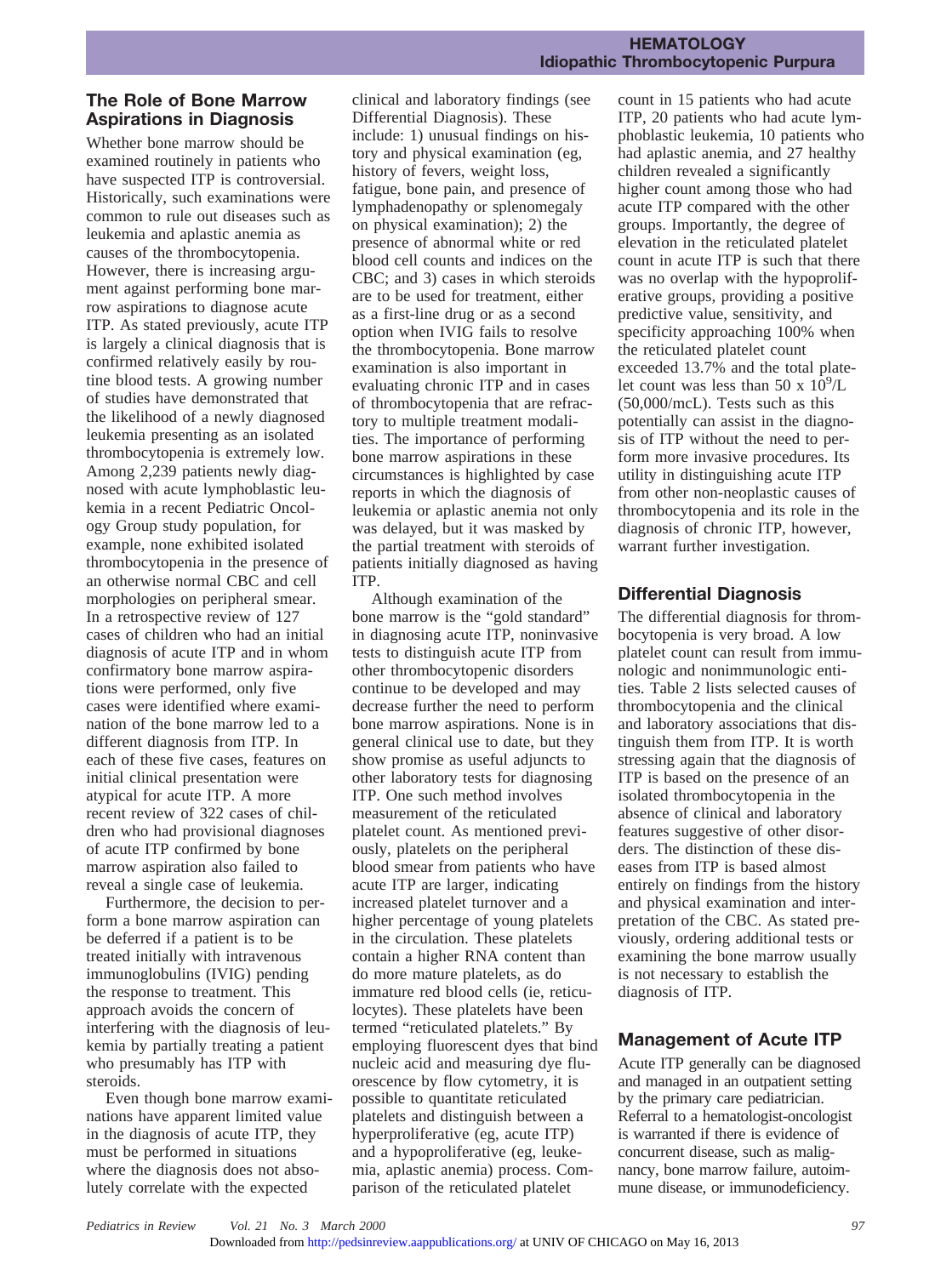# **The Role of Bone Marrow Aspirations in Diagnosis**

Whether bone marrow should be examined routinely in patients who have suspected ITP is controversial. Historically, such examinations were common to rule out diseases such as leukemia and aplastic anemia as causes of the thrombocytopenia. However, there is increasing argument against performing bone marrow aspirations to diagnose acute ITP. As stated previously, acute ITP is largely a clinical diagnosis that is confirmed relatively easily by routine blood tests. A growing number of studies have demonstrated that the likelihood of a newly diagnosed leukemia presenting as an isolated thrombocytopenia is extremely low. Among 2,239 patients newly diagnosed with acute lymphoblastic leukemia in a recent Pediatric Oncology Group study population, for example, none exhibited isolated thrombocytopenia in the presence of an otherwise normal CBC and cell morphologies on peripheral smear. In a retrospective review of 127 cases of children who had an initial diagnosis of acute ITP and in whom confirmatory bone marrow aspirations were performed, only five cases were identified where examination of the bone marrow led to a different diagnosis from ITP. In each of these five cases, features on initial clinical presentation were atypical for acute ITP. A more recent review of 322 cases of children who had provisional diagnoses of acute ITP confirmed by bone marrow aspiration also failed to reveal a single case of leukemia.

Furthermore, the decision to perform a bone marrow aspiration can be deferred if a patient is to be treated initially with intravenous immunoglobulins (IVIG) pending the response to treatment. This approach avoids the concern of interfering with the diagnosis of leukemia by partially treating a patient who presumably has ITP with steroids.

Even though bone marrow examinations have apparent limited value in the diagnosis of acute ITP, they must be performed in situations where the diagnosis does not absolutely correlate with the expected

clinical and laboratory findings (see Differential Diagnosis). These include: 1) unusual findings on history and physical examination (eg, history of fevers, weight loss, fatigue, bone pain, and presence of lymphadenopathy or splenomegaly on physical examination); 2) the presence of abnormal white or red blood cell counts and indices on the CBC; and 3) cases in which steroids are to be used for treatment, either as a first-line drug or as a second option when IVIG fails to resolve the thrombocytopenia. Bone marrow examination is also important in evaluating chronic ITP and in cases of thrombocytopenia that are refractory to multiple treatment modalities. The importance of performing bone marrow aspirations in these circumstances is highlighted by case reports in which the diagnosis of leukemia or aplastic anemia not only was delayed, but it was masked by the partial treatment with steroids of patients initially diagnosed as having ITP.

Although examination of the bone marrow is the "gold standard" in diagnosing acute ITP, noninvasive tests to distinguish acute ITP from other thrombocytopenic disorders continue to be developed and may decrease further the need to perform bone marrow aspirations. None is in general clinical use to date, but they show promise as useful adjuncts to other laboratory tests for diagnosing ITP. One such method involves measurement of the reticulated platelet count. As mentioned previously, platelets on the peripheral blood smear from patients who have acute ITP are larger, indicating increased platelet turnover and a higher percentage of young platelets in the circulation. These platelets contain a higher RNA content than do more mature platelets, as do immature red blood cells (ie, reticulocytes). These platelets have been termed "reticulated platelets." By employing fluorescent dyes that bind nucleic acid and measuring dye fluorescence by flow cytometry, it is possible to quantitate reticulated platelets and distinguish between a hyperproliferative (eg, acute ITP) and a hypoproliferative (eg, leukemia, aplastic anemia) process. Comparison of the reticulated platelet

count in 15 patients who had acute ITP, 20 patients who had acute lymphoblastic leukemia, 10 patients who had aplastic anemia, and 27 healthy children revealed a significantly higher count among those who had acute ITP compared with the other groups. Importantly, the degree of elevation in the reticulated platelet count in acute ITP is such that there was no overlap with the hypoproliferative groups, providing a positive predictive value, sensitivity, and specificity approaching 100% when the reticulated platelet count exceeded 13.7% and the total platelet count was less than 50 x  $10^9$ /L (50,000/mcL). Tests such as this potentially can assist in the diagnosis of ITP without the need to perform more invasive procedures. Its utility in distinguishing acute ITP from other non-neoplastic causes of thrombocytopenia and its role in the diagnosis of chronic ITP, however, warrant further investigation.

# **Differential Diagnosis**

The differential diagnosis for thrombocytopenia is very broad. A low platelet count can result from immunologic and nonimmunologic entities. Table 2 lists selected causes of thrombocytopenia and the clinical and laboratory associations that distinguish them from ITP. It is worth stressing again that the diagnosis of ITP is based on the presence of an isolated thrombocytopenia in the absence of clinical and laboratory features suggestive of other disorders. The distinction of these diseases from ITP is based almost entirely on findings from the history and physical examination and interpretation of the CBC. As stated previously, ordering additional tests or examining the bone marrow usually is not necessary to establish the diagnosis of ITP.

# **Management of Acute ITP**

Acute ITP generally can be diagnosed and managed in an outpatient setting by the primary care pediatrician. Referral to a hematologist-oncologist is warranted if there is evidence of concurrent disease, such as malignancy, bone marrow failure, autoimmune disease, or immunodeficiency.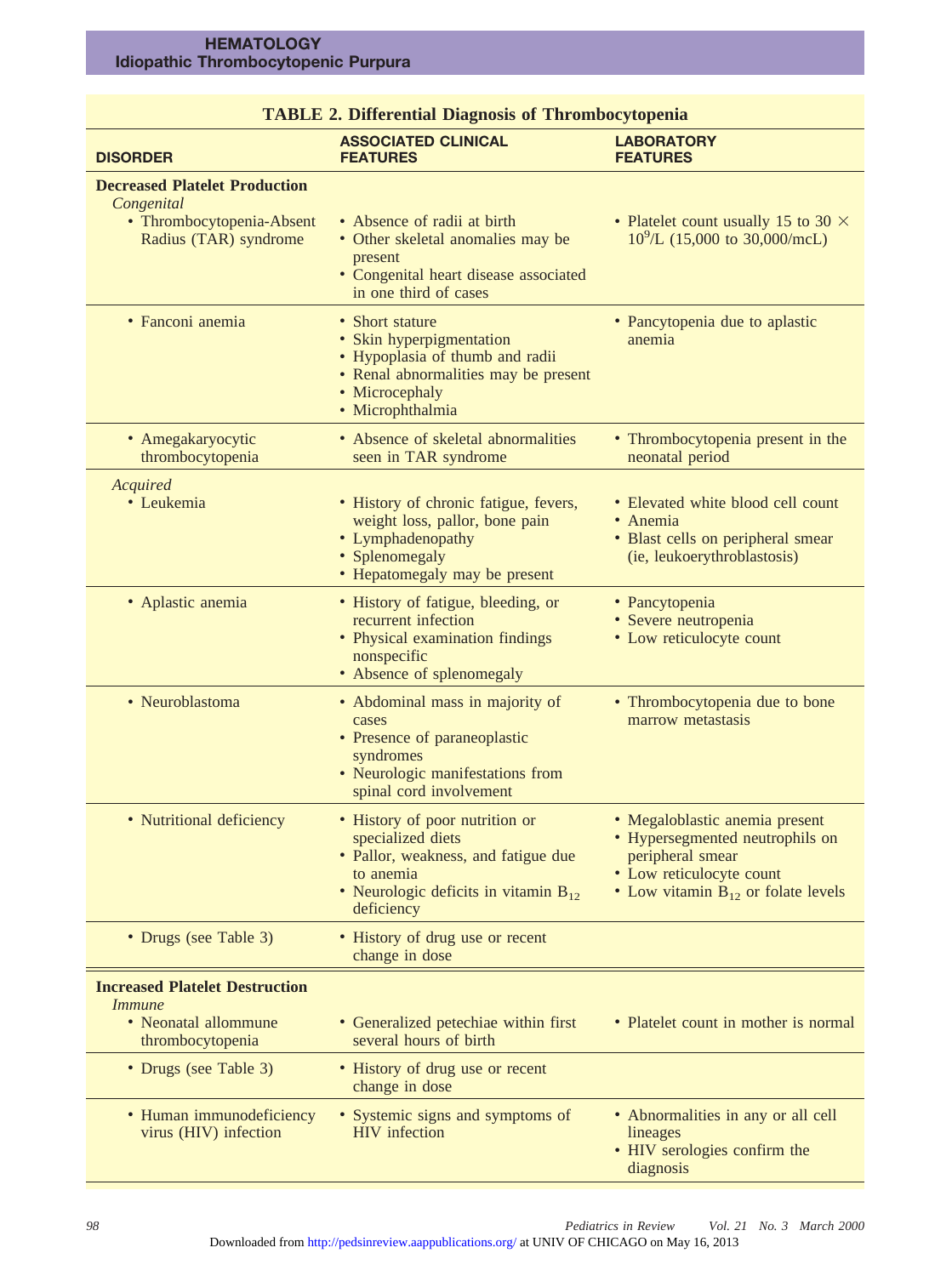#### **HEMATOLOGY Idiopathic Thrombocytopenic Purpura**

| <b>TABLE 2. Differential Diagnosis of Thrombocytopenia</b>                                               |                                                                                                                                                                    |                                                                                                                                                            |  |  |
|----------------------------------------------------------------------------------------------------------|--------------------------------------------------------------------------------------------------------------------------------------------------------------------|------------------------------------------------------------------------------------------------------------------------------------------------------------|--|--|
| <b>DISORDER</b>                                                                                          | <b>ASSOCIATED CLINICAL</b><br><b>FEATURES</b>                                                                                                                      | <b>LABORATORY</b><br><b>FEATURES</b>                                                                                                                       |  |  |
| <b>Decreased Platelet Production</b><br>Congenital<br>• Thrombocytopenia-Absent<br>Radius (TAR) syndrome | • Absence of radii at birth<br>• Other skeletal anomalies may be<br>present<br>· Congenital heart disease associated<br>in one third of cases                      | • Platelet count usually 15 to 30 $\times$<br>$10^9$ /L (15,000 to 30,000/mcL)                                                                             |  |  |
| • Fanconi anemia                                                                                         | • Short stature<br>• Skin hyperpigmentation<br>· Hypoplasia of thumb and radii<br>• Renal abnormalities may be present<br>• Microcephaly<br>· Microphthalmia       | • Pancytopenia due to aplastic<br>anemia                                                                                                                   |  |  |
| • Amegakaryocytic<br>thrombocytopenia                                                                    | • Absence of skeletal abnormalities<br>seen in TAR syndrome                                                                                                        | • Thrombocytopenia present in the<br>neonatal period                                                                                                       |  |  |
| Acquired<br>• Leukemia                                                                                   | • History of chronic fatigue, fevers,<br>weight loss, pallor, bone pain<br>• Lymphadenopathy<br>• Splenomegaly<br>• Hepatomegaly may be present                    | · Elevated white blood cell count<br>• Anemia<br>• Blast cells on peripheral smear<br>(ie, leukoerythroblastosis)                                          |  |  |
| • Aplastic anemia                                                                                        | • History of fatigue, bleeding, or<br>recurrent infection<br>• Physical examination findings<br>nonspecific<br>• Absence of splenomegaly                           | • Pancytopenia<br>· Severe neutropenia<br>• Low reticulocyte count                                                                                         |  |  |
| • Neuroblastoma                                                                                          | • Abdominal mass in majority of<br>cases<br>• Presence of paraneoplastic<br>syndromes<br>• Neurologic manifestations from<br>spinal cord involvement               | • Thrombocytopenia due to bone<br>marrow metastasis                                                                                                        |  |  |
| • Nutritional deficiency                                                                                 | • History of poor nutrition or<br>specialized diets<br>· Pallor, weakness, and fatigue due<br>to anemia<br>• Neurologic deficits in vitamin $B_{12}$<br>deficiency | · Megaloblastic anemia present<br>Hypersegmented neutrophils on<br>peripheral smear<br>• Low reticulocyte count<br>• Low vitamin $B_{12}$ or folate levels |  |  |
| • Drugs (see Table 3)                                                                                    | • History of drug use or recent<br>change in dose                                                                                                                  |                                                                                                                                                            |  |  |
| <b>Increased Platelet Destruction</b><br><i>Immune</i><br>• Neonatal allommune<br>thrombocytopenia       | • Generalized petechiae within first<br>several hours of birth                                                                                                     | • Platelet count in mother is normal                                                                                                                       |  |  |
| • Drugs (see Table 3)                                                                                    | • History of drug use or recent<br>change in dose                                                                                                                  |                                                                                                                                                            |  |  |
| • Human immunodeficiency<br>virus (HIV) infection                                                        | • Systemic signs and symptoms of<br><b>HIV</b> infection                                                                                                           | • Abnormalities in any or all cell<br>lineages<br>• HIV serologies confirm the<br>diagnosis                                                                |  |  |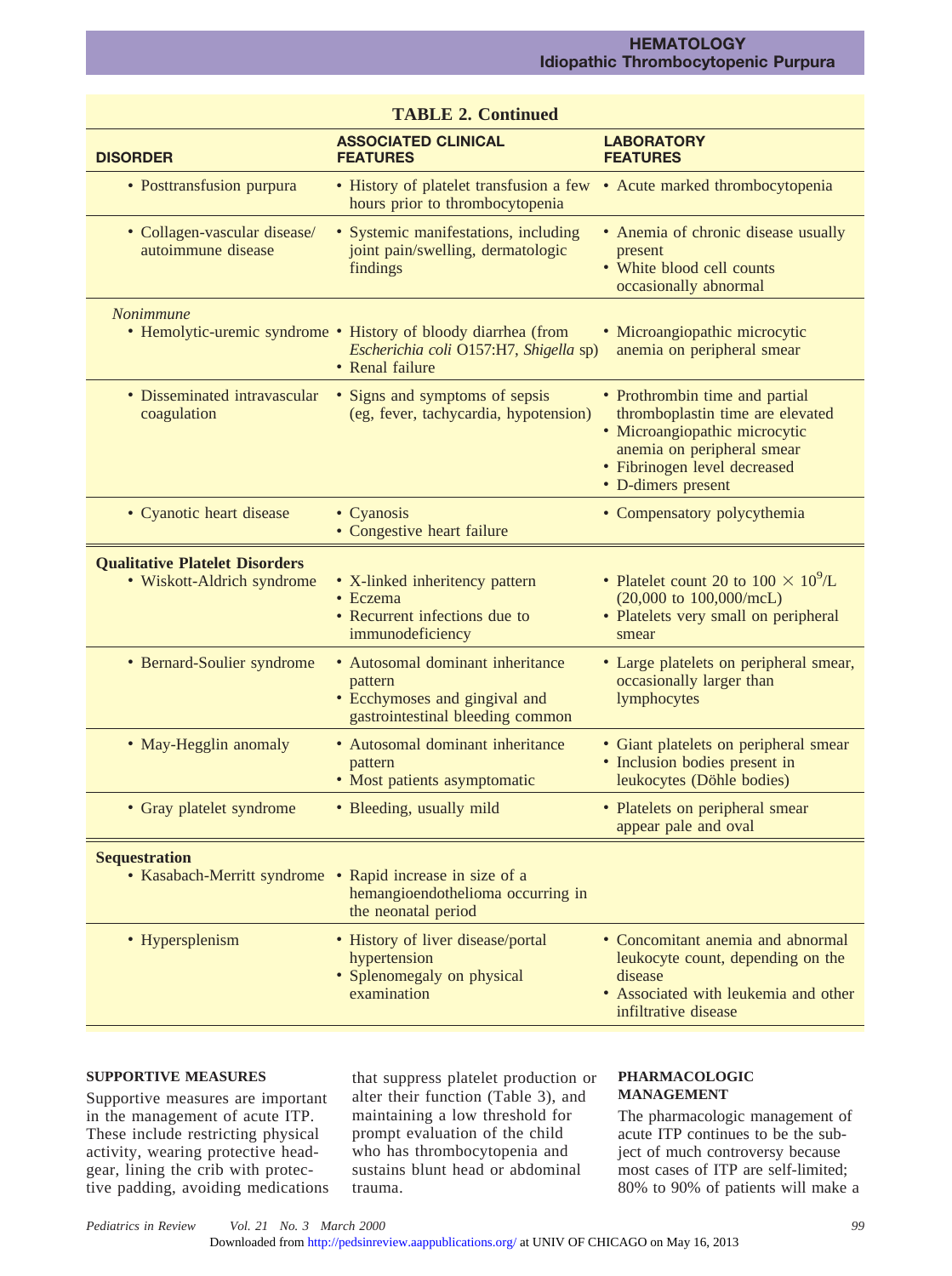| <b>TABLE 2. Continued</b>                                           |                                                                                                                             |                                                                                                                                                                                         |  |  |
|---------------------------------------------------------------------|-----------------------------------------------------------------------------------------------------------------------------|-----------------------------------------------------------------------------------------------------------------------------------------------------------------------------------------|--|--|
| <b>DISORDER</b>                                                     | <b>ASSOCIATED CLINICAL</b><br><b>FEATURES</b>                                                                               | <b>LABORATORY</b><br><b>FEATURES</b>                                                                                                                                                    |  |  |
| • Posttransfusion purpura                                           | • History of platelet transfusion a few<br>hours prior to thrombocytopenia                                                  | • Acute marked thrombocytopenia                                                                                                                                                         |  |  |
| • Collagen-vascular disease/<br>autoimmune disease                  | • Systemic manifestations, including<br>joint pain/swelling, dermatologic<br>findings                                       | • Anemia of chronic disease usually<br>present<br>• White blood cell counts<br>occasionally abnormal                                                                                    |  |  |
| Nonimmune                                                           | • Hemolytic-uremic syndrome • History of bloody diarrhea (from<br>Escherichia coli O157:H7, Shigella sp)<br>• Renal failure | · Microangiopathic microcytic<br>anemia on peripheral smear                                                                                                                             |  |  |
| • Disseminated intravascular<br>coagulation                         | • Signs and symptoms of sepsis<br>(eg, fever, tachycardia, hypotension)                                                     | • Prothrombin time and partial<br>thromboplastin time are elevated<br>· Microangiopathic microcytic<br>anemia on peripheral smear<br>· Fibrinogen level decreased<br>• D-dimers present |  |  |
| • Cyanotic heart disease                                            | • Cyanosis<br>• Congestive heart failure                                                                                    | • Compensatory polycythemia                                                                                                                                                             |  |  |
| <b>Qualitative Platelet Disorders</b><br>• Wiskott-Aldrich syndrome | • X-linked inheritency pattern<br>• Eczema<br>• Recurrent infections due to<br>immunodeficiency                             | • Platelet count 20 to $100 \times 10^9$ /L<br>$(20,000 \text{ to } 100,000/\text{mcL})$<br>• Platelets very small on peripheral<br>smear                                               |  |  |
| • Bernard-Soulier syndrome                                          | • Autosomal dominant inheritance<br>pattern<br>• Ecchymoses and gingival and<br>gastrointestinal bleeding common            | • Large platelets on peripheral smear,<br>occasionally larger than<br>lymphocytes                                                                                                       |  |  |
| • May-Hegglin anomaly                                               | • Autosomal dominant inheritance<br>pattern<br>• Most patients asymptomatic                                                 | • Giant platelets on peripheral smear<br>• Inclusion bodies present in<br>leukocytes (Döhle bodies)                                                                                     |  |  |
| • Gray platelet syndrome                                            | • Bleeding, usually mild                                                                                                    | • Platelets on peripheral smear<br>appear pale and oval                                                                                                                                 |  |  |
| <b>Sequestration</b><br>• Kasabach-Merritt syndrome                 | • Rapid increase in size of a<br>hemangioendothelioma occurring in<br>the neonatal period                                   |                                                                                                                                                                                         |  |  |
| • Hypersplenism                                                     | • History of liver disease/portal<br>hypertension<br>• Splenomegaly on physical<br>examination                              | • Concomitant anemia and abnormal<br>leukocyte count, depending on the<br>disease<br>• Associated with leukemia and other<br>infiltrative disease                                       |  |  |

# **SUPPORTIVE MEASURES**

Supportive measures are important in the management of acute ITP. These include restricting physical activity, wearing protective headgear, lining the crib with protective padding, avoiding medications that suppress platelet production or alter their function (Table 3), and maintaining a low threshold for prompt evaluation of the child who has thrombocytopenia and sustains blunt head or abdominal trauma.

# **PHARMACOLOGIC MANAGEMENT**

The pharmacologic management of acute ITP continues to be the subject of much controversy because most cases of ITP are self-limited; 80% to 90% of patients will make a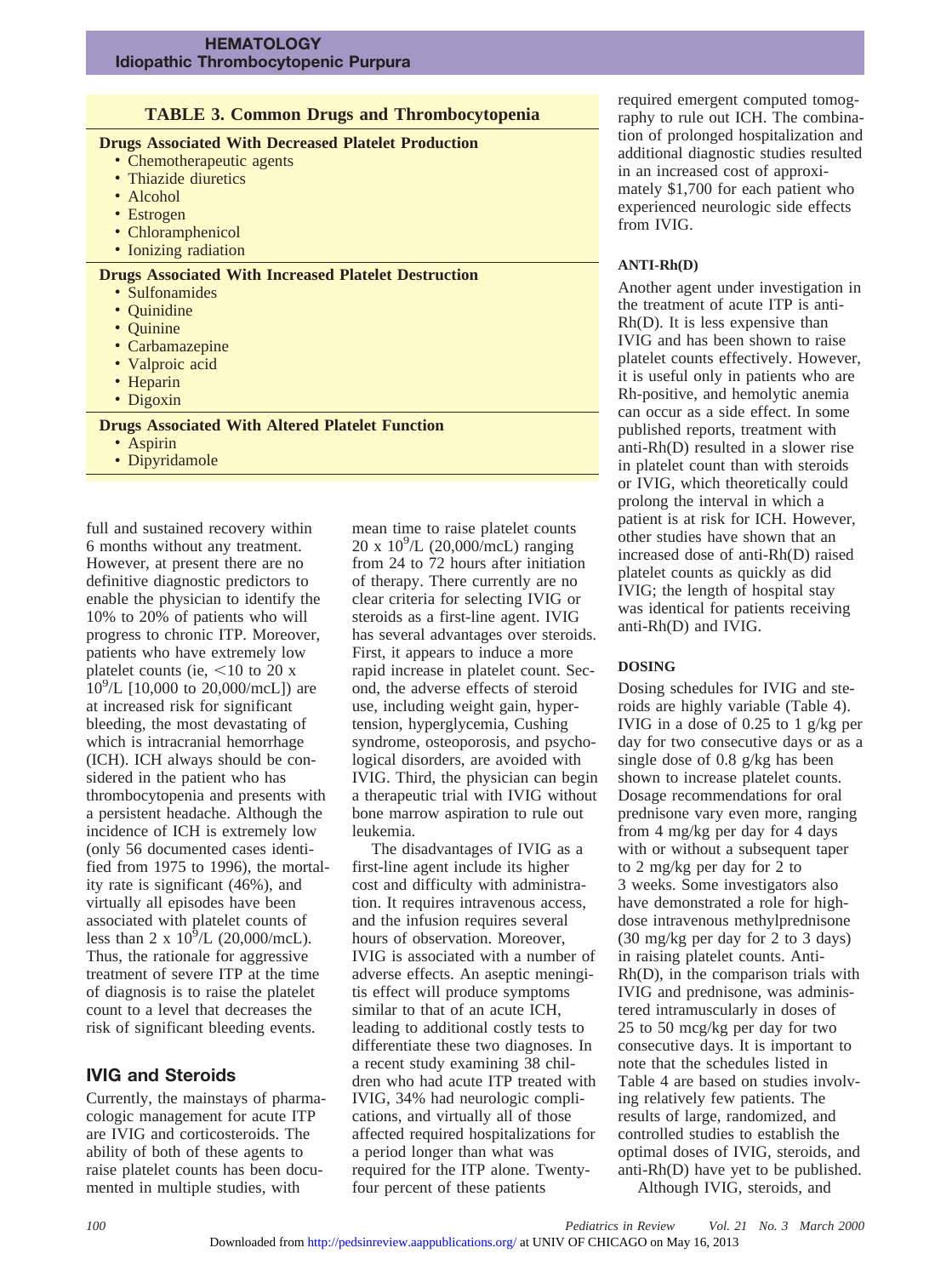# **TABLE 3. Common Drugs and Thrombocytopenia**

# **Drugs Associated With Decreased Platelet Production**

- Chemotherapeutic agents
- Thiazide diuretics
- Alcohol
- Estrogen
- Chloramphenicol
- Ionizing radiation

#### **Drugs Associated With Increased Platelet Destruction**

- Sulfonamides
- Quinidine
- Quinine
- Carbamazepine
- Valproic acid
- Heparin
- Digoxin

# **Drugs Associated With Altered Platelet Function**

• Aspirin

• Dipyridamole

full and sustained recovery within 6 months without any treatment. However, at present there are no definitive diagnostic predictors to enable the physician to identify the 10% to 20% of patients who will progress to chronic ITP. Moreover, patients who have extremely low platelet counts (ie,  $\leq 10$  to 20 x  $10^{9}$ /L [10,000 to 20,000/mcL]) are at increased risk for significant bleeding, the most devastating of which is intracranial hemorrhage (ICH). ICH always should be considered in the patient who has thrombocytopenia and presents with a persistent headache. Although the incidence of ICH is extremely low (only 56 documented cases identified from 1975 to 1996), the mortality rate is significant (46%), and virtually all episodes have been associated with platelet counts of less than 2 x  $10^9$ /L (20,000/mcL). Thus, the rationale for aggressive treatment of severe ITP at the time of diagnosis is to raise the platelet count to a level that decreases the risk of significant bleeding events.

# **IVIG and Steroids**

Currently, the mainstays of pharmacologic management for acute ITP are IVIG and corticosteroids. The ability of both of these agents to raise platelet counts has been documented in multiple studies, with

mean time to raise platelet counts 20 x 109 /L (20,000/mcL) ranging from 24 to 72 hours after initiation of therapy. There currently are no clear criteria for selecting IVIG or steroids as a first-line agent. IVIG has several advantages over steroids. First, it appears to induce a more rapid increase in platelet count. Second, the adverse effects of steroid use, including weight gain, hypertension, hyperglycemia, Cushing syndrome, osteoporosis, and psychological disorders, are avoided with IVIG. Third, the physician can begin a therapeutic trial with IVIG without bone marrow aspiration to rule out leukemia.

The disadvantages of IVIG as a first-line agent include its higher cost and difficulty with administration. It requires intravenous access, and the infusion requires several hours of observation. Moreover, IVIG is associated with a number of adverse effects. An aseptic meningitis effect will produce symptoms similar to that of an acute ICH, leading to additional costly tests to differentiate these two diagnoses. In a recent study examining 38 children who had acute ITP treated with IVIG, 34% had neurologic complications, and virtually all of those affected required hospitalizations for a period longer than what was required for the ITP alone. Twentyfour percent of these patients

required emergent computed tomography to rule out ICH. The combination of prolonged hospitalization and additional diagnostic studies resulted in an increased cost of approximately \$1,700 for each patient who experienced neurologic side effects from IVIG.

### **ANTI-Rh(D)**

Another agent under investigation in the treatment of acute ITP is anti-Rh(D). It is less expensive than IVIG and has been shown to raise platelet counts effectively. However, it is useful only in patients who are Rh-positive, and hemolytic anemia can occur as a side effect. In some published reports, treatment with anti-Rh(D) resulted in a slower rise in platelet count than with steroids or IVIG, which theoretically could prolong the interval in which a patient is at risk for ICH. However, other studies have shown that an increased dose of anti-Rh(D) raised platelet counts as quickly as did IVIG; the length of hospital stay was identical for patients receiving anti-Rh(D) and IVIG.

## **DOSING**

Dosing schedules for IVIG and steroids are highly variable (Table 4). IVIG in a dose of 0.25 to 1 g/kg per day for two consecutive days or as a single dose of 0.8 g/kg has been shown to increase platelet counts. Dosage recommendations for oral prednisone vary even more, ranging from 4 mg/kg per day for 4 days with or without a subsequent taper to 2 mg/kg per day for 2 to 3 weeks. Some investigators also have demonstrated a role for highdose intravenous methylprednisone (30 mg/kg per day for 2 to 3 days) in raising platelet counts. Anti-Rh(D), in the comparison trials with IVIG and prednisone, was administered intramuscularly in doses of 25 to 50 mcg/kg per day for two consecutive days. It is important to note that the schedules listed in Table 4 are based on studies involving relatively few patients. The results of large, randomized, and controlled studies to establish the optimal doses of IVIG, steroids, and anti-Rh(D) have yet to be published.

Although IVIG, steroids, and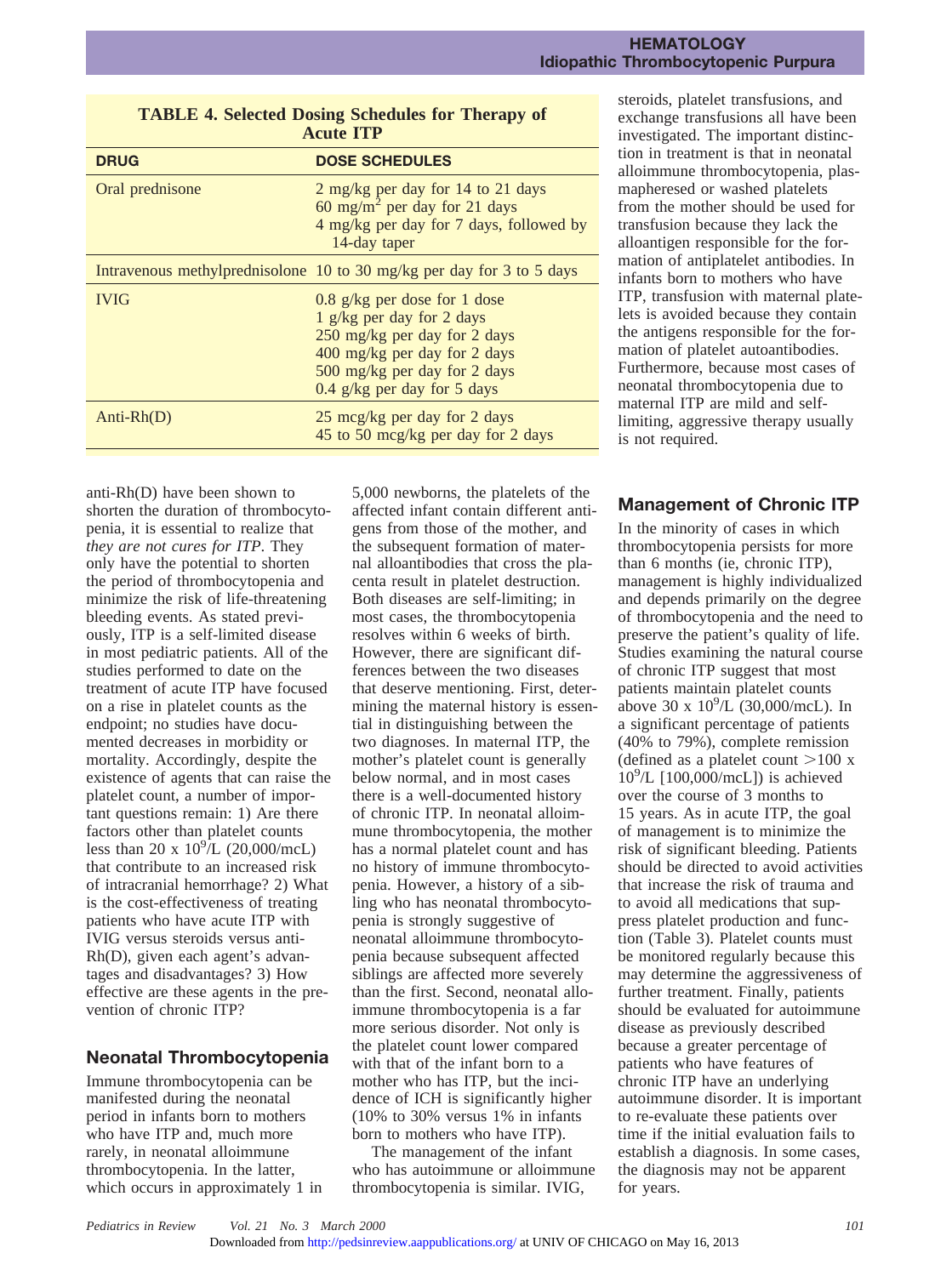| Acute 111       |                                                                                                                                                                                            |  |  |  |
|-----------------|--------------------------------------------------------------------------------------------------------------------------------------------------------------------------------------------|--|--|--|
| <b>DRUG</b>     | <b>DOSE SCHEDULES</b>                                                                                                                                                                      |  |  |  |
| Oral prednisone | 2 mg/kg per day for 14 to 21 days<br>60 mg/m <sup>2</sup> per day for 21 days<br>4 mg/kg per day for 7 days, followed by<br>14-day taper                                                   |  |  |  |
|                 | Intravenous methylprednisolone 10 to 30 mg/kg per day for 3 to 5 days                                                                                                                      |  |  |  |
| <b>IVIG</b>     | 0.8 g/kg per dose for 1 dose<br>1 g/kg per day for 2 days<br>250 mg/kg per day for 2 days<br>400 mg/kg per day for 2 days<br>500 mg/kg per day for 2 days<br>0.4 $g/kg$ per day for 5 days |  |  |  |
| $Anti-Rh(D)$    | 25 mcg/kg per day for 2 days<br>45 to 50 mcg/kg per day for 2 days                                                                                                                         |  |  |  |

# **TABLE 4. Selected Dosing Schedules for Therapy of Acute ITP**

anti-Rh(D) have been shown to shorten the duration of thrombocytopenia, it is essential to realize that *they are not cures for ITP*. They only have the potential to shorten the period of thrombocytopenia and minimize the risk of life-threatening bleeding events. As stated previously, ITP is a self-limited disease in most pediatric patients. All of the studies performed to date on the treatment of acute ITP have focused on a rise in platelet counts as the endpoint; no studies have documented decreases in morbidity or mortality. Accordingly, despite the existence of agents that can raise the platelet count, a number of important questions remain: 1) Are there factors other than platelet counts less than 20 x  $10^{9}$ /L (20,000/mcL) that contribute to an increased risk of intracranial hemorrhage? 2) What is the cost-effectiveness of treating patients who have acute ITP with IVIG versus steroids versus anti-Rh(D), given each agent's advantages and disadvantages? 3) How effective are these agents in the prevention of chronic ITP?

# **Neonatal Thrombocytopenia**

Immune thrombocytopenia can be manifested during the neonatal period in infants born to mothers who have ITP and, much more rarely, in neonatal alloimmune thrombocytopenia. In the latter, which occurs in approximately 1 in 5,000 newborns, the platelets of the affected infant contain different antigens from those of the mother, and the subsequent formation of maternal alloantibodies that cross the placenta result in platelet destruction. Both diseases are self-limiting; in most cases, the thrombocytopenia resolves within 6 weeks of birth. However, there are significant differences between the two diseases that deserve mentioning. First, determining the maternal history is essential in distinguishing between the two diagnoses. In maternal ITP, the mother's platelet count is generally below normal, and in most cases there is a well-documented history of chronic ITP. In neonatal alloimmune thrombocytopenia, the mother has a normal platelet count and has no history of immune thrombocytopenia. However, a history of a sibling who has neonatal thrombocytopenia is strongly suggestive of neonatal alloimmune thrombocytopenia because subsequent affected siblings are affected more severely than the first. Second, neonatal alloimmune thrombocytopenia is a far more serious disorder. Not only is the platelet count lower compared with that of the infant born to a mother who has ITP, but the incidence of ICH is significantly higher (10% to 30% versus 1% in infants born to mothers who have ITP).

The management of the infant who has autoimmune or alloimmune thrombocytopenia is similar. IVIG,

steroids, platelet transfusions, and exchange transfusions all have been investigated. The important distinction in treatment is that in neonatal alloimmune thrombocytopenia, plasmapheresed or washed platelets from the mother should be used for transfusion because they lack the alloantigen responsible for the formation of antiplatelet antibodies. In infants born to mothers who have ITP, transfusion with maternal platelets is avoided because they contain the antigens responsible for the formation of platelet autoantibodies. Furthermore, because most cases of neonatal thrombocytopenia due to maternal ITP are mild and selflimiting, aggressive therapy usually is not required.

# **Management of Chronic ITP**

In the minority of cases in which thrombocytopenia persists for more than 6 months (ie, chronic ITP), management is highly individualized and depends primarily on the degree of thrombocytopenia and the need to preserve the patient's quality of life. Studies examining the natural course of chronic ITP suggest that most patients maintain platelet counts above 30 x  $10^{9}/L(30,000/mcL)$ . In a significant percentage of patients (40% to 79%), complete remission (defined as a platelet count  $>100$  x 109 /L [100,000/mcL]) is achieved over the course of 3 months to 15 years. As in acute ITP, the goal of management is to minimize the risk of significant bleeding. Patients should be directed to avoid activities that increase the risk of trauma and to avoid all medications that suppress platelet production and function (Table 3). Platelet counts must be monitored regularly because this may determine the aggressiveness of further treatment. Finally, patients should be evaluated for autoimmune disease as previously described because a greater percentage of patients who have features of chronic ITP have an underlying autoimmune disorder. It is important to re-evaluate these patients over time if the initial evaluation fails to establish a diagnosis. In some cases, the diagnosis may not be apparent for years.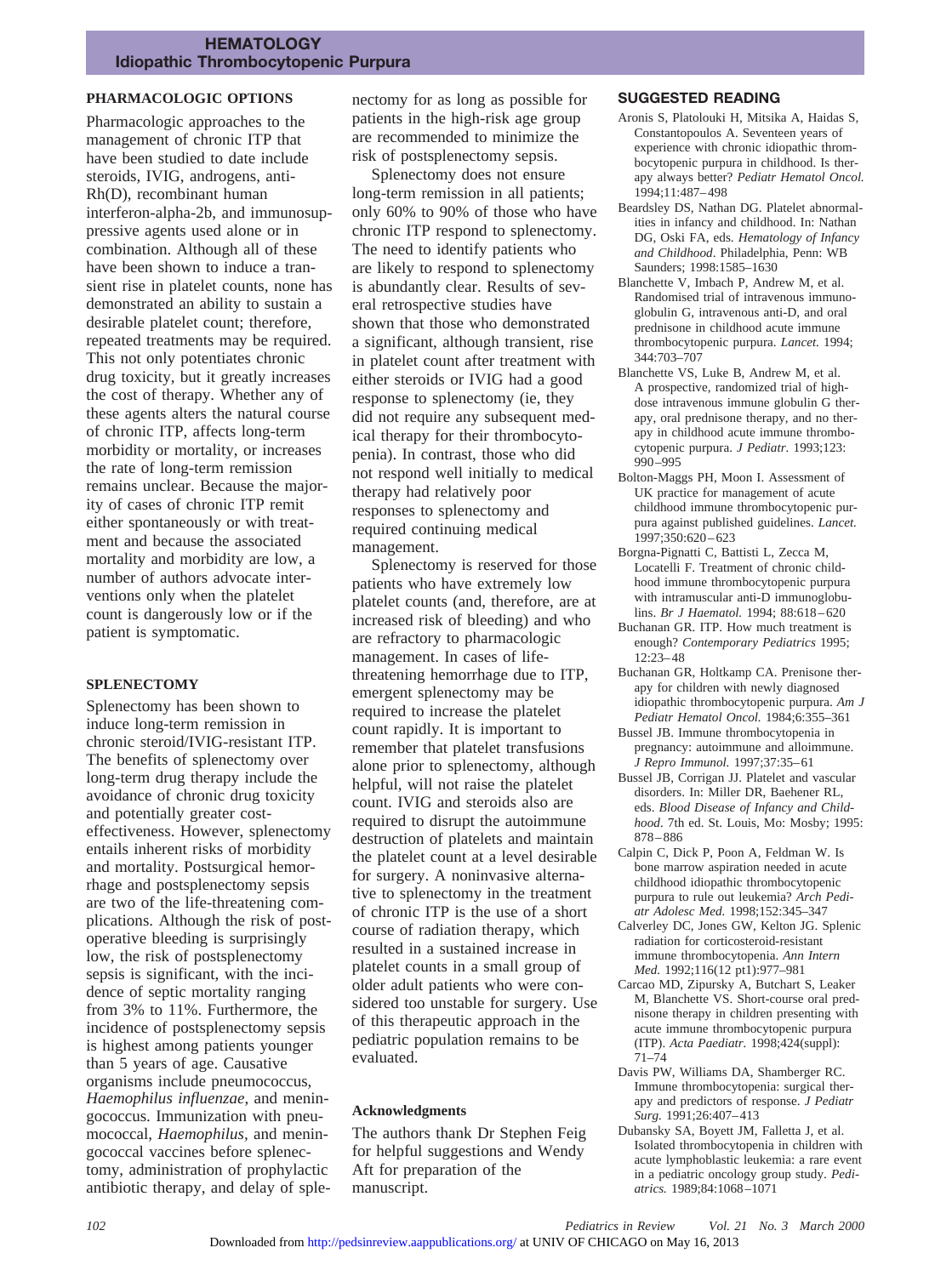# **HEMATOLOGY Idiopathic Thrombocytopenic Purpura**

# **PHARMACOLOGIC OPTIONS**

Pharmacologic approaches to the management of chronic ITP that have been studied to date include steroids, IVIG, androgens, anti-Rh(D), recombinant human interferon-alpha-2b, and immunosuppressive agents used alone or in combination. Although all of these have been shown to induce a transient rise in platelet counts, none has demonstrated an ability to sustain a desirable platelet count; therefore, repeated treatments may be required. This not only potentiates chronic drug toxicity, but it greatly increases the cost of therapy. Whether any of these agents alters the natural course of chronic ITP, affects long-term morbidity or mortality, or increases the rate of long-term remission remains unclear. Because the majority of cases of chronic ITP remit either spontaneously or with treatment and because the associated mortality and morbidity are low, a number of authors advocate interventions only when the platelet count is dangerously low or if the patient is symptomatic.

### **SPLENECTOMY**

Splenectomy has been shown to induce long-term remission in chronic steroid/IVIG-resistant ITP. The benefits of splenectomy over long-term drug therapy include the avoidance of chronic drug toxicity and potentially greater costeffectiveness. However, splenectomy entails inherent risks of morbidity and mortality. Postsurgical hemorrhage and postsplenectomy sepsis are two of the life-threatening complications. Although the risk of postoperative bleeding is surprisingly low, the risk of postsplenectomy sepsis is significant, with the incidence of septic mortality ranging from 3% to 11%. Furthermore, the incidence of postsplenectomy sepsis is highest among patients younger than 5 years of age. Causative organisms include pneumococcus, *Haemophilus influenzae*, and meningococcus. Immunization with pneumococcal, *Haemophilus,* and meningococcal vaccines before splenectomy, administration of prophylactic antibiotic therapy, and delay of splenectomy for as long as possible for patients in the high-risk age group are recommended to minimize the risk of postsplenectomy sepsis.

Splenectomy does not ensure long-term remission in all patients; only 60% to 90% of those who have chronic ITP respond to splenectomy. The need to identify patients who are likely to respond to splenectomy is abundantly clear. Results of several retrospective studies have shown that those who demonstrated a significant, although transient, rise in platelet count after treatment with either steroids or IVIG had a good response to splenectomy (ie, they did not require any subsequent medical therapy for their thrombocytopenia). In contrast, those who did not respond well initially to medical therapy had relatively poor responses to splenectomy and required continuing medical management.

Splenectomy is reserved for those patients who have extremely low platelet counts (and, therefore, are at increased risk of bleeding) and who are refractory to pharmacologic management. In cases of lifethreatening hemorrhage due to ITP, emergent splenectomy may be required to increase the platelet count rapidly. It is important to remember that platelet transfusions alone prior to splenectomy, although helpful, will not raise the platelet count. IVIG and steroids also are required to disrupt the autoimmune destruction of platelets and maintain the platelet count at a level desirable for surgery. A noninvasive alternative to splenectomy in the treatment of chronic ITP is the use of a short course of radiation therapy, which resulted in a sustained increase in platelet counts in a small group of older adult patients who were considered too unstable for surgery. Use of this therapeutic approach in the pediatric population remains to be evaluated.

### **Acknowledgments**

The authors thank Dr Stephen Feig for helpful suggestions and Wendy Aft for preparation of the manuscript.

#### **SUGGESTED READING**

- Aronis S, Platolouki H, Mitsika A, Haidas S, Constantopoulos A. Seventeen years of experience with chronic idiopathic thrombocytopenic purpura in childhood. Is therapy always better? *Pediatr Hematol Oncol.* 1994;11:487–498
- Beardsley DS, Nathan DG. Platelet abnormalities in infancy and childhood. In: Nathan DG, Oski FA, eds. *Hematology of Infancy and Childhood*. Philadelphia, Penn: WB Saunders; 1998:1585–1630
- Blanchette V, Imbach P, Andrew M, et al. Randomised trial of intravenous immunoglobulin G, intravenous anti-D, and oral prednisone in childhood acute immune thrombocytopenic purpura. *Lancet.* 1994; 344:703–707
- Blanchette VS, Luke B, Andrew M, et al. A prospective, randomized trial of highdose intravenous immune globulin G therapy, oral prednisone therapy, and no therapy in childhood acute immune thrombocytopenic purpura. *J Pediatr.* 1993;123: 990–995
- Bolton-Maggs PH, Moon I. Assessment of UK practice for management of acute childhood immune thrombocytopenic purpura against published guidelines. *Lancet.* 1997;350:620–623
- Borgna-Pignatti C, Battisti L, Zecca M, Locatelli F. Treatment of chronic childhood immune thrombocytopenic purpura with intramuscular anti-D immunoglobulins. *Br J Haematol.* 1994; 88:618–620
- Buchanan GR. ITP. How much treatment is enough? *Contemporary Pediatrics* 1995; 12:23–48
- Buchanan GR, Holtkamp CA. Prenisone therapy for children with newly diagnosed idiopathic thrombocytopenic purpura. *Am J Pediatr Hematol Oncol.* 1984;6:355–361
- Bussel JB. Immune thrombocytopenia in pregnancy: autoimmune and alloimmune. *J Repro Immunol.* 1997;37:35–61
- Bussel JB, Corrigan JJ. Platelet and vascular disorders. In: Miller DR, Baehener RL, eds. *Blood Disease of Infancy and Childhood*. 7th ed. St. Louis, Mo: Mosby; 1995: 878–886
- Calpin C, Dick P, Poon A, Feldman W. Is bone marrow aspiration needed in acute childhood idiopathic thrombocytopenic purpura to rule out leukemia? *Arch Pediatr Adolesc Med.* 1998;152:345–347
- Calverley DC, Jones GW, Kelton JG. Splenic radiation for corticosteroid-resistant immune thrombocytopenia. *Ann Intern Med.* 1992;116(12 pt1):977–981
- Carcao MD, Zipursky A, Butchart S, Leaker M, Blanchette VS. Short-course oral prednisone therapy in children presenting with acute immune thrombocytopenic purpura (ITP). *Acta Paediatr.* 1998;424(suppl): 71–74
- Davis PW, Williams DA, Shamberger RC. Immune thrombocytopenia: surgical therapy and predictors of response. *J Pediatr Surg.* 1991;26:407–413
- Dubansky SA, Boyett JM, Falletta J, et al. Isolated thrombocytopenia in children with acute lymphoblastic leukemia: a rare event in a pediatric oncology group study. *Pediatrics.* 1989;84:1068–1071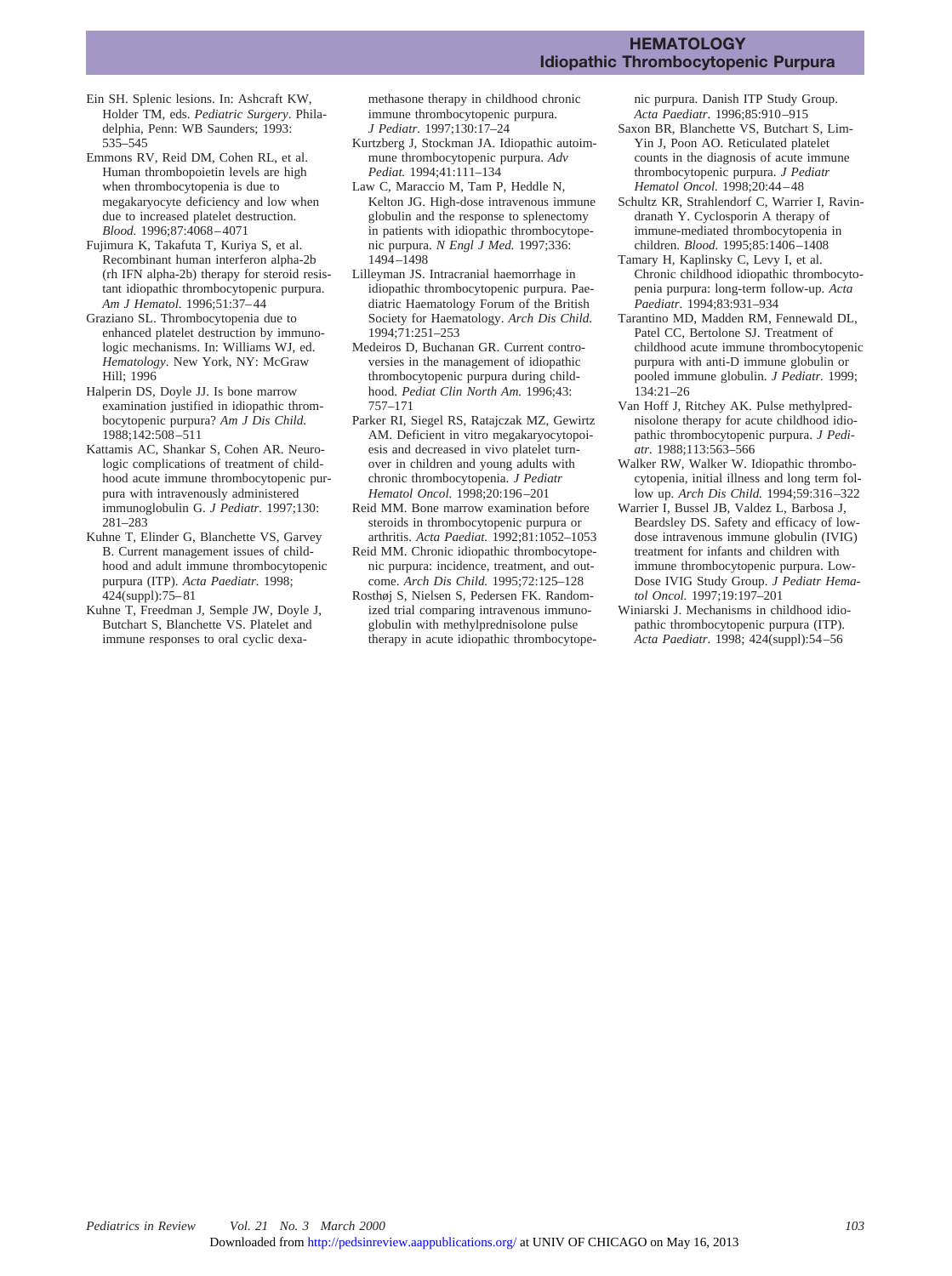### **HEMATOLOGY Idiopathic Thrombocytopenic Purpura**

- Ein SH. Splenic lesions. In: Ashcraft KW, Holder TM, eds. *Pediatric Surgery*. Philadelphia, Penn: WB Saunders; 1993: 535–545
- Emmons RV, Reid DM, Cohen RL, et al. Human thrombopoietin levels are high when thrombocytopenia is due to megakaryocyte deficiency and low when due to increased platelet destruction. *Blood.* 1996;87:4068–4071
- Fujimura K, Takafuta T, Kuriya S, et al. Recombinant human interferon alpha-2b (rh IFN alpha-2b) therapy for steroid resistant idiopathic thrombocytopenic purpura. *Am J Hematol.* 1996;51:37–44
- Graziano SL. Thrombocytopenia due to enhanced platelet destruction by immunologic mechanisms. In: Williams WJ, ed. *Hematology*. New York, NY: McGraw Hill; 1996
- Halperin DS, Doyle JJ. Is bone marrow examination justified in idiopathic thrombocytopenic purpura? *Am J Dis Child.* 1988;142:508–511
- Kattamis AC, Shankar S, Cohen AR. Neurologic complications of treatment of childhood acute immune thrombocytopenic purpura with intravenously administered immunoglobulin G. *J Pediatr.* 1997;130: 281–283
- Kuhne T, Elinder G, Blanchette VS, Garvey B. Current management issues of childhood and adult immune thrombocytopenic purpura (ITP). *Acta Paediatr.* 1998; 424(suppl):75–81
- Kuhne T, Freedman J, Semple JW, Doyle J, Butchart S, Blanchette VS. Platelet and immune responses to oral cyclic dexa-

methasone therapy in childhood chronic immune thrombocytopenic purpura. *J Pediatr.* 1997;130:17–24

- Kurtzberg J, Stockman JA. Idiopathic autoimmune thrombocytopenic purpura. *Adv Pediat.* 1994;41:111–134
- Law C, Maraccio M, Tam P, Heddle N, Kelton JG. High-dose intravenous immune globulin and the response to splenectomy in patients with idiopathic thrombocytopenic purpura. *N Engl J Med.* 1997;336: 1494–1498
- Lilleyman JS. Intracranial haemorrhage in idiopathic thrombocytopenic purpura. Paediatric Haematology Forum of the British Society for Haematology. *Arch Dis Child.* 1994;71:251–253
- Medeiros D, Buchanan GR. Current controversies in the management of idiopathic thrombocytopenic purpura during childhood. *Pediat Clin North Am.* 1996;43: 757–171
- Parker RI, Siegel RS, Ratajczak MZ, Gewirtz AM. Deficient in vitro megakaryocytopoiesis and decreased in vivo platelet turnover in children and young adults with chronic thrombocytopenia. *J Pediatr Hematol Oncol.* 1998;20:196–201
- Reid MM. Bone marrow examination before steroids in thrombocytopenic purpura or arthritis. *Acta Paediat.* 1992;81:1052–1053
- Reid MM. Chronic idiopathic thrombocytopenic purpura: incidence, treatment, and outcome. *Arch Dis Child.* 1995;72:125–128
- Rosthøj S, Nielsen S, Pedersen FK. Randomized trial comparing intravenous immunoglobulin with methylprednisolone pulse therapy in acute idiopathic thrombocytope-

nic purpura. Danish ITP Study Group. *Acta Paediatr.* 1996;85:910–915

- Saxon BR, Blanchette VS, Butchart S, Lim-Yin J, Poon AO. Reticulated platelet counts in the diagnosis of acute immune thrombocytopenic purpura. *J Pediatr Hematol Oncol.* 1998;20:44–48
- Schultz KR, Strahlendorf C, Warrier I, Ravindranath Y. Cyclosporin A therapy of immune-mediated thrombocytopenia in children. *Blood.* 1995;85:1406–1408
- Tamary H, Kaplinsky C, Levy I, et al. Chronic childhood idiopathic thrombocytopenia purpura: long-term follow-up. *Acta Paediatr.* 1994;83:931–934
- Tarantino MD, Madden RM, Fennewald DL, Patel CC, Bertolone SJ. Treatment of childhood acute immune thrombocytopenic purpura with anti-D immune globulin or pooled immune globulin. *J Pediatr.* 1999; 134:21–26
- Van Hoff J, Ritchey AK. Pulse methylprednisolone therapy for acute childhood idiopathic thrombocytopenic purpura. *J Pediatr.* 1988;113:563–566
- Walker RW, Walker W. Idiopathic thrombocytopenia, initial illness and long term follow up. *Arch Dis Child.* 1994;59:316–322
- Warrier I, Bussel JB, Valdez L, Barbosa J, Beardsley DS. Safety and efficacy of lowdose intravenous immune globulin (IVIG) treatment for infants and children with immune thrombocytopenic purpura. Low-Dose IVIG Study Group. *J Pediatr Hematol Oncol.* 1997;19:197–201
- Winiarski J. Mechanisms in childhood idiopathic thrombocytopenic purpura (ITP). *Acta Paediatr.* 1998; 424(suppl):54–56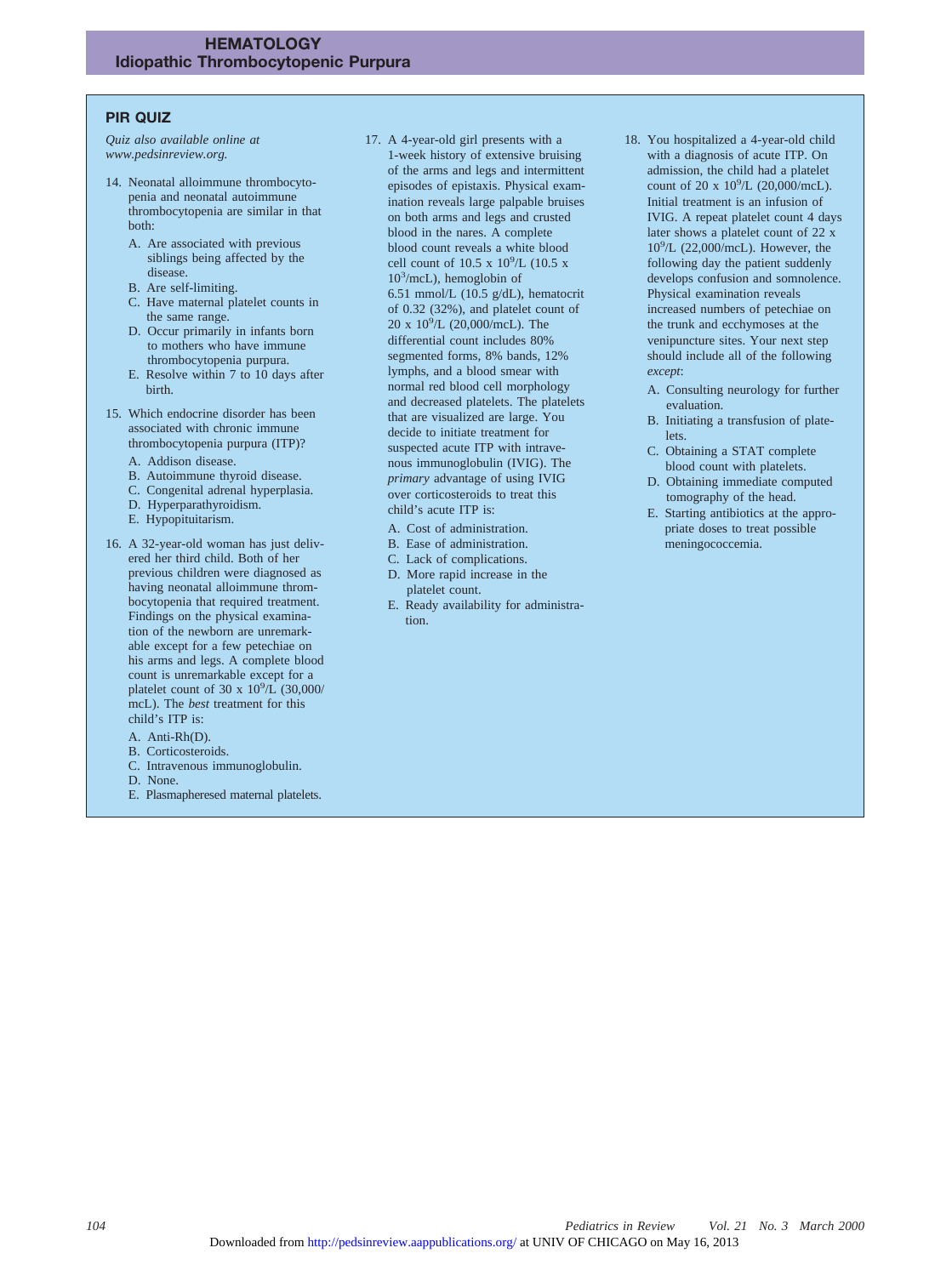# **PIR QUIZ**

*Quiz also available online at www.pedsinreview.org.*

- 14. Neonatal alloimmune thrombocytopenia and neonatal autoimmune thrombocytopenia are similar in that both:
	- A. Are associated with previous siblings being affected by the disease.
	- B. Are self-limiting.
	- C. Have maternal platelet counts in the same range.
	- D. Occur primarily in infants born to mothers who have immune thrombocytopenia purpura.
	- E. Resolve within 7 to 10 days after birth.
- 15. Which endocrine disorder has been associated with chronic immune thrombocytopenia purpura (ITP)? A. Addison disease.
	-
	- B. Autoimmune thyroid disease. C. Congenital adrenal hyperplasia.
	- D. Hyperparathyroidism.
	-
	- E. Hypopituitarism.
- 16. A 32-year-old woman has just delivered her third child. Both of her previous children were diagnosed as having neonatal alloimmune thrombocytopenia that required treatment. Findings on the physical examination of the newborn are unremarkable except for a few petechiae on his arms and legs. A complete blood count is unremarkable except for a platelet count of 30 x  $10^9/\text{L}$  (30,000/ mcL). The *best* treatment for this child's ITP is:
	- A. Anti-Rh(D).
	- B. Corticosteroids.
	- C. Intravenous immunoglobulin.
	- D. None.
	- E. Plasmapheresed maternal platelets.
- 17. A 4-year-old girl presents with a 1-week history of extensive bruising of the arms and legs and intermittent episodes of epistaxis. Physical examination reveals large palpable bruises on both arms and legs and crusted blood in the nares. A complete blood count reveals a white blood cell count of  $10.5 \times 10^9$ /L (10.5 x 103 /mcL), hemoglobin of 6.51 mmol/L (10.5 g/dL), hematocrit of 0.32 (32%), and platelet count of 20 x 109 /L (20,000/mcL). The differential count includes 80% segmented forms, 8% bands, 12% lymphs, and a blood smear with normal red blood cell morphology and decreased platelets. The platelets that are visualized are large. You decide to initiate treatment for suspected acute ITP with intravenous immunoglobulin (IVIG). The *primary* advantage of using IVIG over corticosteroids to treat this child's acute ITP is:
	- A. Cost of administration.
	- B. Ease of administration.
	- C. Lack of complications.
	- D. More rapid increase in the platelet count.
	- E. Ready availability for administration.
- 18. You hospitalized a 4-year-old child with a diagnosis of acute ITP. On admission, the child had a platelet count of 20 x  $10^9$ /L (20,000/mcL). Initial treatment is an infusion of IVIG. A repeat platelet count 4 days later shows a platelet count of 22 x 10<sup>9</sup> /L (22,000/mcL). However, the following day the patient suddenly develops confusion and somnolence. Physical examination reveals increased numbers of petechiae on the trunk and ecchymoses at the venipuncture sites. Your next step should include all of the following *except*:
	- A. Consulting neurology for further evaluation.
	- B. Initiating a transfusion of platelets.
	- C. Obtaining a STAT complete blood count with platelets.
	- D. Obtaining immediate computed tomography of the head.
	- E. Starting antibiotics at the appropriate doses to treat possible meningococcemia.